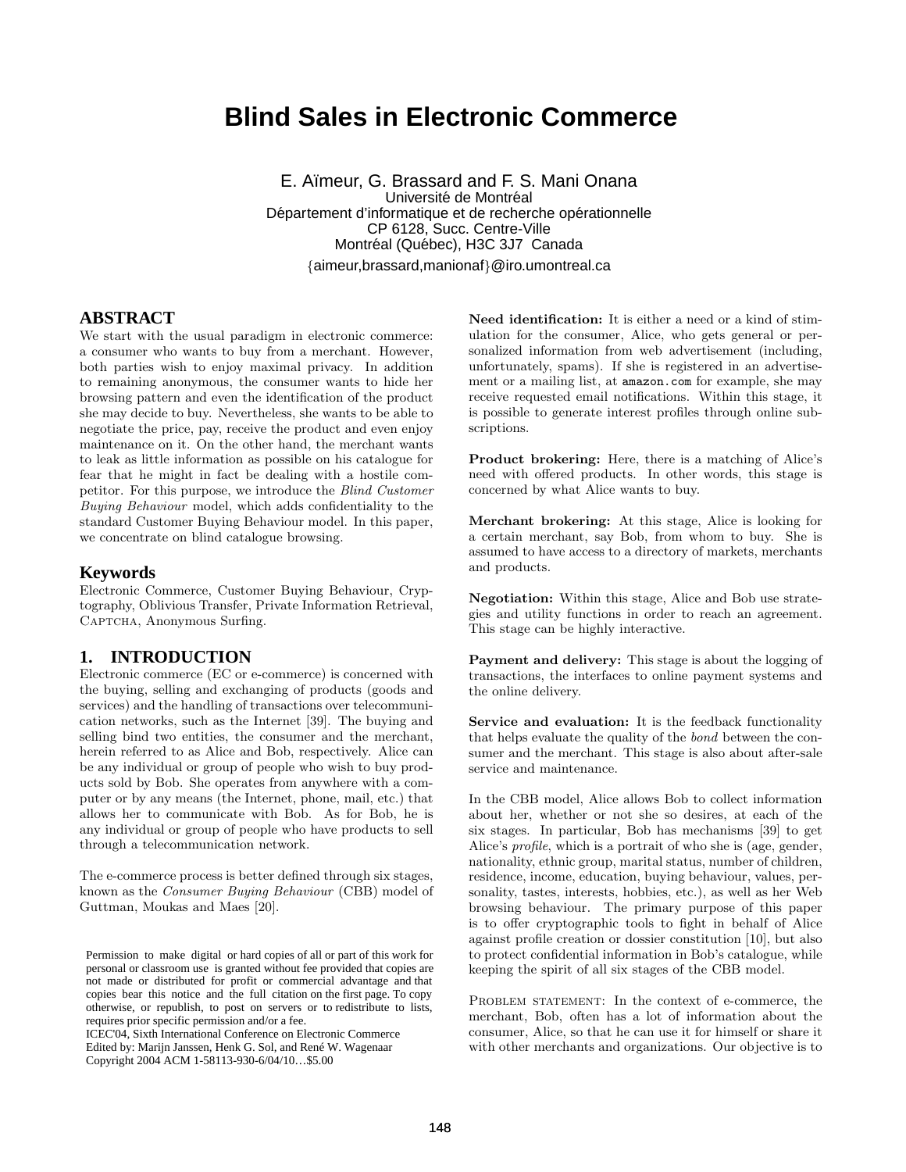# **Blind Sales in Electronic Commerce**

E. A¨ımeur, G. Brassard and F. S. Mani Onana Université de Montréal Département d'informatique et de recherche opérationnelle CP 6128, Succ. Centre-Ville Montréal (Québec), H3C 3J7 Canada {aimeur,brassard,manionaf}@iro.umontreal.ca

## **ABSTRACT**

We start with the usual paradigm in electronic commerce: a consumer who wants to buy from a merchant. However, both parties wish to enjoy maximal privacy. In addition to remaining anonymous, the consumer wants to hide her browsing pattern and even the identification of the product she may decide to buy. Nevertheless, she wants to be able to negotiate the price, pay, receive the product and even enjoy maintenance on it. On the other hand, the merchant wants to leak as little information as possible on his catalogue for fear that he might in fact be dealing with a hostile competitor. For this purpose, we introduce the Blind Customer Buying Behaviour model, which adds confidentiality to the standard Customer Buying Behaviour model. In this paper, we concentrate on blind catalogue browsing.

#### **Keywords**

Electronic Commerce, Customer Buying Behaviour, Cryptography, Oblivious Transfer, Private Information Retrieval, CAPTCHA, Anonymous Surfing.

## **1. INTRODUCTION**

Electronic commerce (EC or e-commerce) is concerned with the buying, selling and exchanging of products (goods and services) and the handling of transactions over telecommunication networks, such as the Internet [39]. The buying and selling bind two entities, the consumer and the merchant, herein referred to as Alice and Bob, respectively. Alice can be any individual or group of people who wish to buy products sold by Bob. She operates from anywhere with a computer or by any means (the Internet, phone, mail, etc.) that allows her to communicate with Bob. As for Bob, he is any individual or group of people who have products to sell through a telecommunication network.

The e-commerce process is better defined through six stages, known as the Consumer Buying Behaviour (CBB) model of Guttman, Moukas and Maes [20].

ICEC'04, Sixth International Conference on Electronic Commerce Edited by: Marijn Janssen, Henk G. Sol, and René W. Wagenaar Copyright 2004 ACM 1-58113-930-6/04/10…\$5.00

Need identification: It is either a need or a kind of stimulation for the consumer, Alice, who gets general or personalized information from web advertisement (including, unfortunately, spams). If she is registered in an advertisement or a mailing list, at amazon.com for example, she may receive requested email notifications. Within this stage, it is possible to generate interest profiles through online subscriptions.

Product brokering: Here, there is a matching of Alice's need with offered products. In other words, this stage is concerned by what Alice wants to buy.

Merchant brokering: At this stage, Alice is looking for a certain merchant, say Bob, from whom to buy. She is assumed to have access to a directory of markets, merchants and products.

Negotiation: Within this stage, Alice and Bob use strategies and utility functions in order to reach an agreement. This stage can be highly interactive.

Payment and delivery: This stage is about the logging of transactions, the interfaces to online payment systems and the online delivery.

Service and evaluation: It is the feedback functionality that helps evaluate the quality of the bond between the consumer and the merchant. This stage is also about after-sale service and maintenance.

In the CBB model, Alice allows Bob to collect information about her, whether or not she so desires, at each of the six stages. In particular, Bob has mechanisms [39] to get Alice's profile, which is a portrait of who she is (age, gender, nationality, ethnic group, marital status, number of children, residence, income, education, buying behaviour, values, personality, tastes, interests, hobbies, etc.), as well as her Web browsing behaviour. The primary purpose of this paper is to offer cryptographic tools to fight in behalf of Alice against profile creation or dossier constitution [10], but also to protect confidential information in Bob's catalogue, while keeping the spirit of all six stages of the CBB model.

PROBLEM STATEMENT: In the context of e-commerce, the merchant, Bob, often has a lot of information about the consumer, Alice, so that he can use it for himself or share it with other merchants and organizations. Our objective is to

Permission to make digital or hard copies of all or part of this work for personal or classroom use is granted without fee provided that copies are not made or distributed for profit or commercial advantage and that copies bear this notice and the full citation on the first page. To copy otherwise, or republish, to post on servers or to redistribute to lists, requires prior specific permission and/or a fee.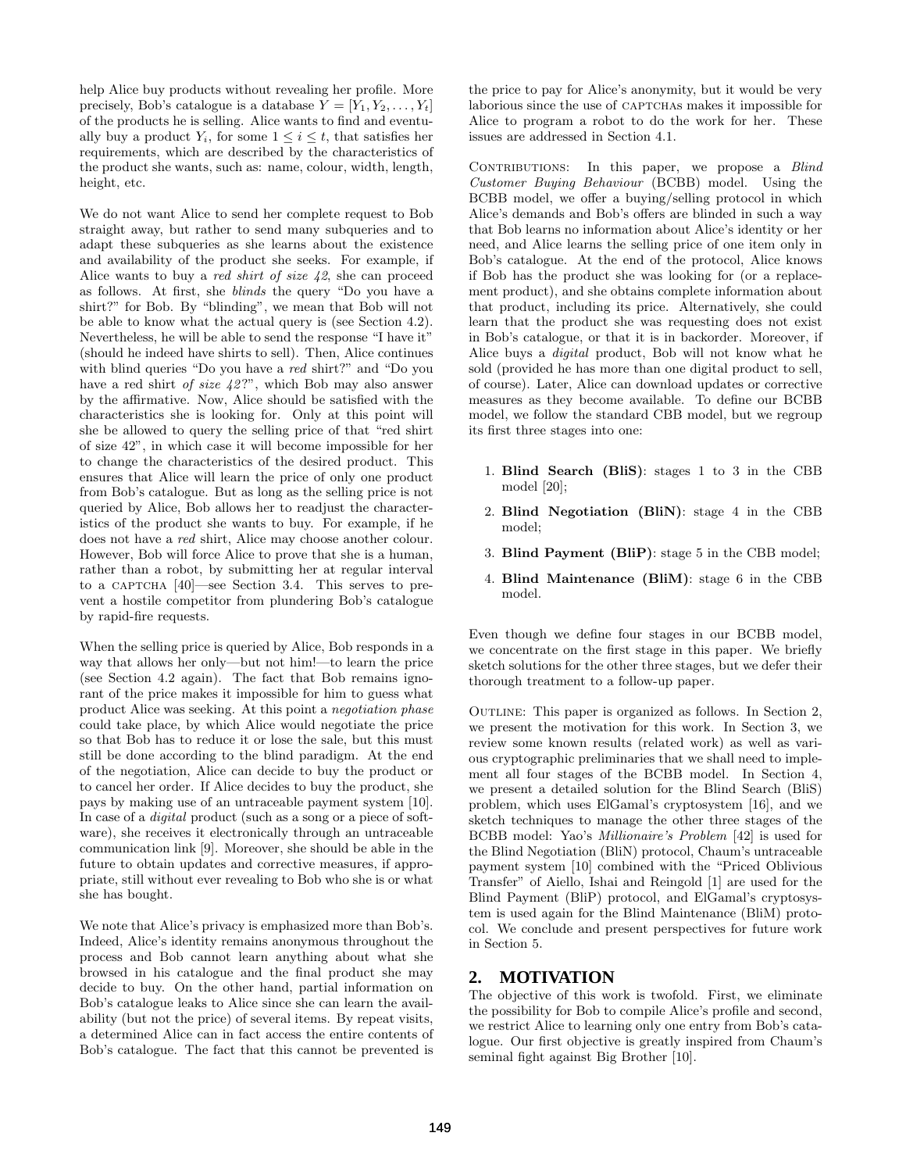help Alice buy products without revealing her profile. More precisely, Bob's catalogue is a database  $Y = [Y_1, Y_2, \ldots, Y_t]$ of the products he is selling. Alice wants to find and eventually buy a product  $Y_i$ , for some  $1 \leq i \leq t$ , that satisfies her requirements, which are described by the characteristics of the product she wants, such as: name, colour, width, length, height, etc.

We do not want Alice to send her complete request to Bob straight away, but rather to send many subqueries and to adapt these subqueries as she learns about the existence and availability of the product she seeks. For example, if Alice wants to buy a red shirt of size 42, she can proceed as follows. At first, she blinds the query "Do you have a shirt?" for Bob. By "blinding", we mean that Bob will not be able to know what the actual query is (see Section 4.2). Nevertheless, he will be able to send the response "I have it" (should he indeed have shirts to sell). Then, Alice continues with blind queries "Do you have a red shirt?" and "Do you have a red shirt of size  $42$ ?", which Bob may also answer by the affirmative. Now, Alice should be satisfied with the characteristics she is looking for. Only at this point will she be allowed to query the selling price of that "red shirt of size 42", in which case it will become impossible for her to change the characteristics of the desired product. This ensures that Alice will learn the price of only one product from Bob's catalogue. But as long as the selling price is not queried by Alice, Bob allows her to readjust the characteristics of the product she wants to buy. For example, if he does not have a red shirt, Alice may choose another colour. However, Bob will force Alice to prove that she is a human, rather than a robot, by submitting her at regular interval to a CAPTCHA  $[40]$ —see Section 3.4. This serves to prevent a hostile competitor from plundering Bob's catalogue by rapid-fire requests.

When the selling price is queried by Alice, Bob responds in a way that allows her only—but not him!—to learn the price (see Section 4.2 again). The fact that Bob remains ignorant of the price makes it impossible for him to guess what product Alice was seeking. At this point a negotiation phase could take place, by which Alice would negotiate the price so that Bob has to reduce it or lose the sale, but this must still be done according to the blind paradigm. At the end of the negotiation, Alice can decide to buy the product or to cancel her order. If Alice decides to buy the product, she pays by making use of an untraceable payment system [10]. In case of a *digital* product (such as a song or a piece of software), she receives it electronically through an untraceable communication link [9]. Moreover, she should be able in the future to obtain updates and corrective measures, if appropriate, still without ever revealing to Bob who she is or what she has bought.

We note that Alice's privacy is emphasized more than Bob's. Indeed, Alice's identity remains anonymous throughout the process and Bob cannot learn anything about what she browsed in his catalogue and the final product she may decide to buy. On the other hand, partial information on Bob's catalogue leaks to Alice since she can learn the availability (but not the price) of several items. By repeat visits, a determined Alice can in fact access the entire contents of Bob's catalogue. The fact that this cannot be prevented is the price to pay for Alice's anonymity, but it would be very laborious since the use of CAPTCHAS makes it impossible for Alice to program a robot to do the work for her. These issues are addressed in Section 4.1.

CONTRIBUTIONS: In this paper, we propose a Blind Customer Buying Behaviour (BCBB) model. Using the BCBB model, we offer a buying/selling protocol in which Alice's demands and Bob's offers are blinded in such a way that Bob learns no information about Alice's identity or her need, and Alice learns the selling price of one item only in Bob's catalogue. At the end of the protocol, Alice knows if Bob has the product she was looking for (or a replacement product), and she obtains complete information about that product, including its price. Alternatively, she could learn that the product she was requesting does not exist in Bob's catalogue, or that it is in backorder. Moreover, if Alice buys a digital product, Bob will not know what he sold (provided he has more than one digital product to sell, of course). Later, Alice can download updates or corrective measures as they become available. To define our BCBB model, we follow the standard CBB model, but we regroup its first three stages into one:

- 1. Blind Search (BliS): stages 1 to 3 in the CBB model [20];
- 2. Blind Negotiation (BliN): stage 4 in the CBB model;
- 3. Blind Payment (BliP): stage 5 in the CBB model;
- 4. Blind Maintenance (BliM): stage 6 in the CBB model.

Even though we define four stages in our BCBB model, we concentrate on the first stage in this paper. We briefly sketch solutions for the other three stages, but we defer their thorough treatment to a follow-up paper.

Outline: This paper is organized as follows. In Section 2, we present the motivation for this work. In Section 3, we review some known results (related work) as well as various cryptographic preliminaries that we shall need to implement all four stages of the BCBB model. In Section 4, we present a detailed solution for the Blind Search (BliS) problem, which uses ElGamal's cryptosystem [16], and we sketch techniques to manage the other three stages of the BCBB model: Yao's Millionaire's Problem [42] is used for the Blind Negotiation (BliN) protocol, Chaum's untraceable payment system [10] combined with the "Priced Oblivious Transfer" of Aiello, Ishai and Reingold [1] are used for the Blind Payment (BliP) protocol, and ElGamal's cryptosystem is used again for the Blind Maintenance (BliM) protocol. We conclude and present perspectives for future work in Section 5.

## **2. MOTIVATION**

The objective of this work is twofold. First, we eliminate the possibility for Bob to compile Alice's profile and second, we restrict Alice to learning only one entry from Bob's catalogue. Our first objective is greatly inspired from Chaum's seminal fight against Big Brother [10].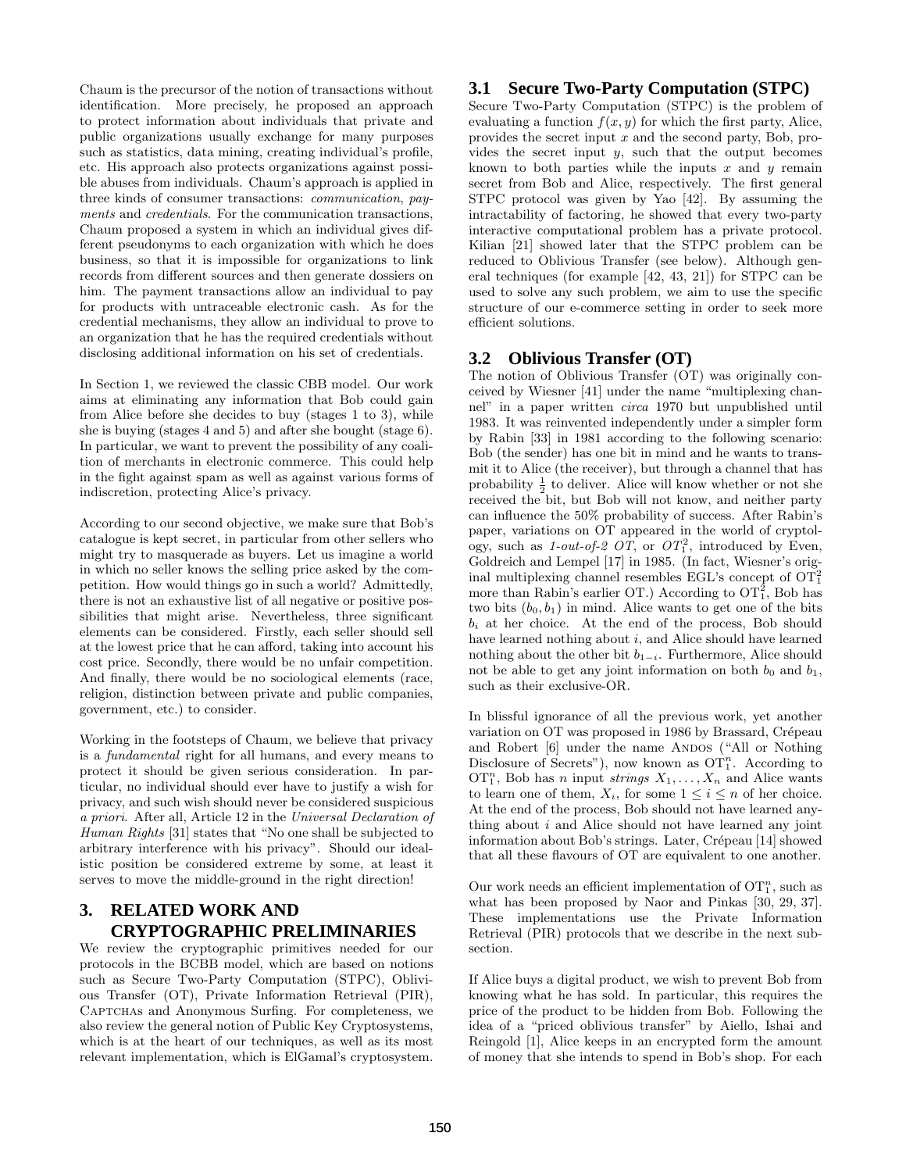Chaum is the precursor of the notion of transactions without identification. More precisely, he proposed an approach to protect information about individuals that private and public organizations usually exchange for many purposes such as statistics, data mining, creating individual's profile, etc. His approach also protects organizations against possible abuses from individuals. Chaum's approach is applied in three kinds of consumer transactions: communication, payments and credentials. For the communication transactions, Chaum proposed a system in which an individual gives different pseudonyms to each organization with which he does business, so that it is impossible for organizations to link records from different sources and then generate dossiers on him. The payment transactions allow an individual to pay for products with untraceable electronic cash. As for the credential mechanisms, they allow an individual to prove to an organization that he has the required credentials without disclosing additional information on his set of credentials.

In Section 1, we reviewed the classic CBB model. Our work aims at eliminating any information that Bob could gain from Alice before she decides to buy (stages 1 to 3), while she is buying (stages 4 and 5) and after she bought (stage 6). In particular, we want to prevent the possibility of any coalition of merchants in electronic commerce. This could help in the fight against spam as well as against various forms of indiscretion, protecting Alice's privacy.

According to our second objective, we make sure that Bob's catalogue is kept secret, in particular from other sellers who might try to masquerade as buyers. Let us imagine a world in which no seller knows the selling price asked by the competition. How would things go in such a world? Admittedly, there is not an exhaustive list of all negative or positive possibilities that might arise. Nevertheless, three significant elements can be considered. Firstly, each seller should sell at the lowest price that he can afford, taking into account his cost price. Secondly, there would be no unfair competition. And finally, there would be no sociological elements (race, religion, distinction between private and public companies, government, etc.) to consider.

Working in the footsteps of Chaum, we believe that privacy is a fundamental right for all humans, and every means to protect it should be given serious consideration. In particular, no individual should ever have to justify a wish for privacy, and such wish should never be considered suspicious a priori. After all, Article 12 in the Universal Declaration of Human Rights [31] states that "No one shall be subjected to arbitrary interference with his privacy". Should our idealistic position be considered extreme by some, at least it serves to move the middle-ground in the right direction!

# **3. RELATED WORK AND CRYPTOGRAPHIC PRELIMINARIES**

We review the cryptographic primitives needed for our protocols in the BCBB model, which are based on notions such as Secure Two-Party Computation (STPC), Oblivious Transfer (OT), Private Information Retrieval (PIR), CAPTCHAS and Anonymous Surfing. For completeness, we also review the general notion of Public Key Cryptosystems, which is at the heart of our techniques, as well as its most relevant implementation, which is ElGamal's cryptosystem.

## **3.1 Secure Two-Party Computation (STPC)**

Secure Two-Party Computation (STPC) is the problem of evaluating a function  $f(x, y)$  for which the first party, Alice, provides the secret input  $x$  and the second party, Bob, provides the secret input  $y$ , such that the output becomes known to both parties while the inputs  $x$  and  $y$  remain secret from Bob and Alice, respectively. The first general STPC protocol was given by Yao [42]. By assuming the intractability of factoring, he showed that every two-party interactive computational problem has a private protocol. Kilian [21] showed later that the STPC problem can be reduced to Oblivious Transfer (see below). Although general techniques (for example [42, 43, 21]) for STPC can be used to solve any such problem, we aim to use the specific structure of our e-commerce setting in order to seek more efficient solutions.

## **3.2 Oblivious Transfer (OT)**

The notion of Oblivious Transfer (OT) was originally conceived by Wiesner [41] under the name "multiplexing channel" in a paper written circa 1970 but unpublished until 1983. It was reinvented independently under a simpler form by Rabin [33] in 1981 according to the following scenario: Bob (the sender) has one bit in mind and he wants to transmit it to Alice (the receiver), but through a channel that has probability  $\frac{1}{2}$  to deliver. Alice will know whether or not she received the bit, but Bob will not know, and neither party can influence the 50% probability of success. After Rabin's paper, variations on OT appeared in the world of cryptology, such as 1-out-of-2 OT, or  $OT_1^2$ , introduced by Even, Goldreich and Lempel [17] in 1985. (In fact, Wiesner's original multiplexing channel resembles EGL's concept of  $OT_1^2$ more than Rabin's earlier OT.) According to  $\text{OT}_1^2$ , Bob has two bits  $(b_0, b_1)$  in mind. Alice wants to get one of the bits  $b_i$  at her choice. At the end of the process, Bob should have learned nothing about i, and Alice should have learned nothing about the other bit  $b_{1-i}$ . Furthermore, Alice should not be able to get any joint information on both  $b_0$  and  $b_1$ , such as their exclusive-OR.

In blissful ignorance of all the previous work, yet another variation on OT was proposed in 1986 by Brassard, Crépeau and Robert [6] under the name ANDOS ("All or Nothing Disclosure of Secrets"), now known as  $\overline{OT_1^n}$ . According to  $\mathrm{OT}_1^n$ , Bob has *n* input *strings*  $X_1, \ldots, X_n$  and Alice wants to learn one of them,  $X_i$ , for some  $1 \leq i \leq n$  of her choice. At the end of the process, Bob should not have learned anything about  $i$  and Alice should not have learned any joint information about Bob's strings. Later, Crépeau [14] showed that all these flavours of OT are equivalent to one another.

Our work needs an efficient implementation of  $\mathrm{OT}_1^n$ , such as what has been proposed by Naor and Pinkas [30, 29, 37]. These implementations use the Private Information Retrieval (PIR) protocols that we describe in the next subsection.

If Alice buys a digital product, we wish to prevent Bob from knowing what he has sold. In particular, this requires the price of the product to be hidden from Bob. Following the idea of a "priced oblivious transfer" by Aiello, Ishai and Reingold [1], Alice keeps in an encrypted form the amount of money that she intends to spend in Bob's shop. For each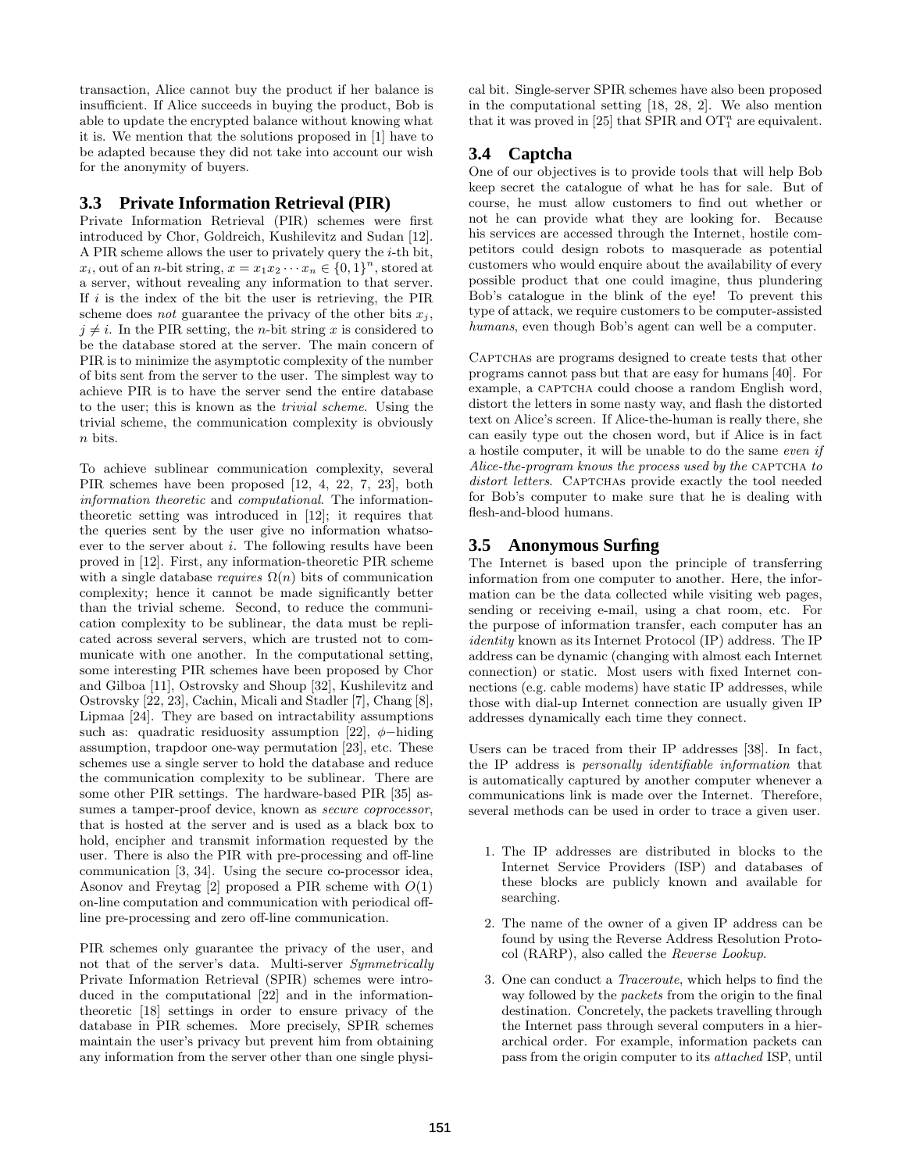transaction, Alice cannot buy the product if her balance is insufficient. If Alice succeeds in buying the product, Bob is able to update the encrypted balance without knowing what it is. We mention that the solutions proposed in [1] have to be adapted because they did not take into account our wish for the anonymity of buyers.

#### **3.3 Private Information Retrieval (PIR)**

Private Information Retrieval (PIR) schemes were first introduced by Chor, Goldreich, Kushilevitz and Sudan [12]. A PIR scheme allows the user to privately query the  $i$ -th bit,  $x_i$ , out of an *n*-bit string,  $x = x_1 x_2 \cdots x_n \in \{0, 1\}^n$ , stored at a server, without revealing any information to that server. If  $i$  is the index of the bit the user is retrieving, the PIR scheme does *not* guarantee the privacy of the other bits  $x_i$ ,  $j \neq i$ . In the PIR setting, the *n*-bit string x is considered to be the database stored at the server. The main concern of PIR is to minimize the asymptotic complexity of the number of bits sent from the server to the user. The simplest way to achieve PIR is to have the server send the entire database to the user; this is known as the trivial scheme. Using the trivial scheme, the communication complexity is obviously n bits.

To achieve sublinear communication complexity, several PIR schemes have been proposed [12, 4, 22, 7, 23], both information theoretic and computational. The informationtheoretic setting was introduced in [12]; it requires that the queries sent by the user give no information whatsoever to the server about  $i$ . The following results have been proved in [12]. First, any information-theoretic PIR scheme with a single database *requires*  $\Omega(n)$  bits of communication complexity; hence it cannot be made significantly better than the trivial scheme. Second, to reduce the communication complexity to be sublinear, the data must be replicated across several servers, which are trusted not to communicate with one another. In the computational setting, some interesting PIR schemes have been proposed by Chor and Gilboa [11], Ostrovsky and Shoup [32], Kushilevitz and Ostrovsky [22, 23], Cachin, Micali and Stadler [7], Chang [8], Lipmaa [24]. They are based on intractability assumptions such as: quadratic residuosity assumption [22],  $\phi$ -hiding assumption, trapdoor one-way permutation [23], etc. These schemes use a single server to hold the database and reduce the communication complexity to be sublinear. There are some other PIR settings. The hardware-based PIR [35] assumes a tamper-proof device, known as secure coprocessor, that is hosted at the server and is used as a black box to hold, encipher and transmit information requested by the user. There is also the PIR with pre-processing and off-line communication [3, 34]. Using the secure co-processor idea, Asonov and Freytag  $[2]$  proposed a PIR scheme with  $O(1)$ on-line computation and communication with periodical offline pre-processing and zero off-line communication.

PIR schemes only guarantee the privacy of the user, and not that of the server's data. Multi-server Symmetrically Private Information Retrieval (SPIR) schemes were introduced in the computational [22] and in the informationtheoretic [18] settings in order to ensure privacy of the database in PIR schemes. More precisely, SPIR schemes maintain the user's privacy but prevent him from obtaining any information from the server other than one single physical bit. Single-server SPIR schemes have also been proposed in the computational setting [18, 28, 2]. We also mention that it was proved in [25] that SPIR and  $\overline{OT}_1^n$  are equivalent.

## **3.4 Captcha**

One of our objectives is to provide tools that will help Bob keep secret the catalogue of what he has for sale. But of course, he must allow customers to find out whether or not he can provide what they are looking for. Because his services are accessed through the Internet, hostile competitors could design robots to masquerade as potential customers who would enquire about the availability of every possible product that one could imagine, thus plundering Bob's catalogue in the blink of the eye! To prevent this type of attack, we require customers to be computer-assisted humans, even though Bob's agent can well be a computer.

CAPTCHAS are programs designed to create tests that other programs cannot pass but that are easy for humans [40]. For example, a CAPTCHA could choose a random English word, distort the letters in some nasty way, and flash the distorted text on Alice's screen. If Alice-the-human is really there, she can easily type out the chosen word, but if Alice is in fact a hostile computer, it will be unable to do the same even if Alice-the-program knows the process used by the CAPTCHA to distort letters. CAPTCHAS provide exactly the tool needed for Bob's computer to make sure that he is dealing with flesh-and-blood humans.

## **3.5 Anonymous Surfing**

The Internet is based upon the principle of transferring information from one computer to another. Here, the information can be the data collected while visiting web pages, sending or receiving e-mail, using a chat room, etc. For the purpose of information transfer, each computer has an identity known as its Internet Protocol (IP) address. The IP address can be dynamic (changing with almost each Internet connection) or static. Most users with fixed Internet connections (e.g. cable modems) have static IP addresses, while those with dial-up Internet connection are usually given IP addresses dynamically each time they connect.

Users can be traced from their IP addresses [38]. In fact, the IP address is personally identifiable information that is automatically captured by another computer whenever a communications link is made over the Internet. Therefore, several methods can be used in order to trace a given user.

- 1. The IP addresses are distributed in blocks to the Internet Service Providers (ISP) and databases of these blocks are publicly known and available for searching.
- 2. The name of the owner of a given IP address can be found by using the Reverse Address Resolution Protocol (RARP), also called the Reverse Lookup.
- 3. One can conduct a Traceroute, which helps to find the way followed by the *packets* from the origin to the final destination. Concretely, the packets travelling through the Internet pass through several computers in a hierarchical order. For example, information packets can pass from the origin computer to its attached ISP, until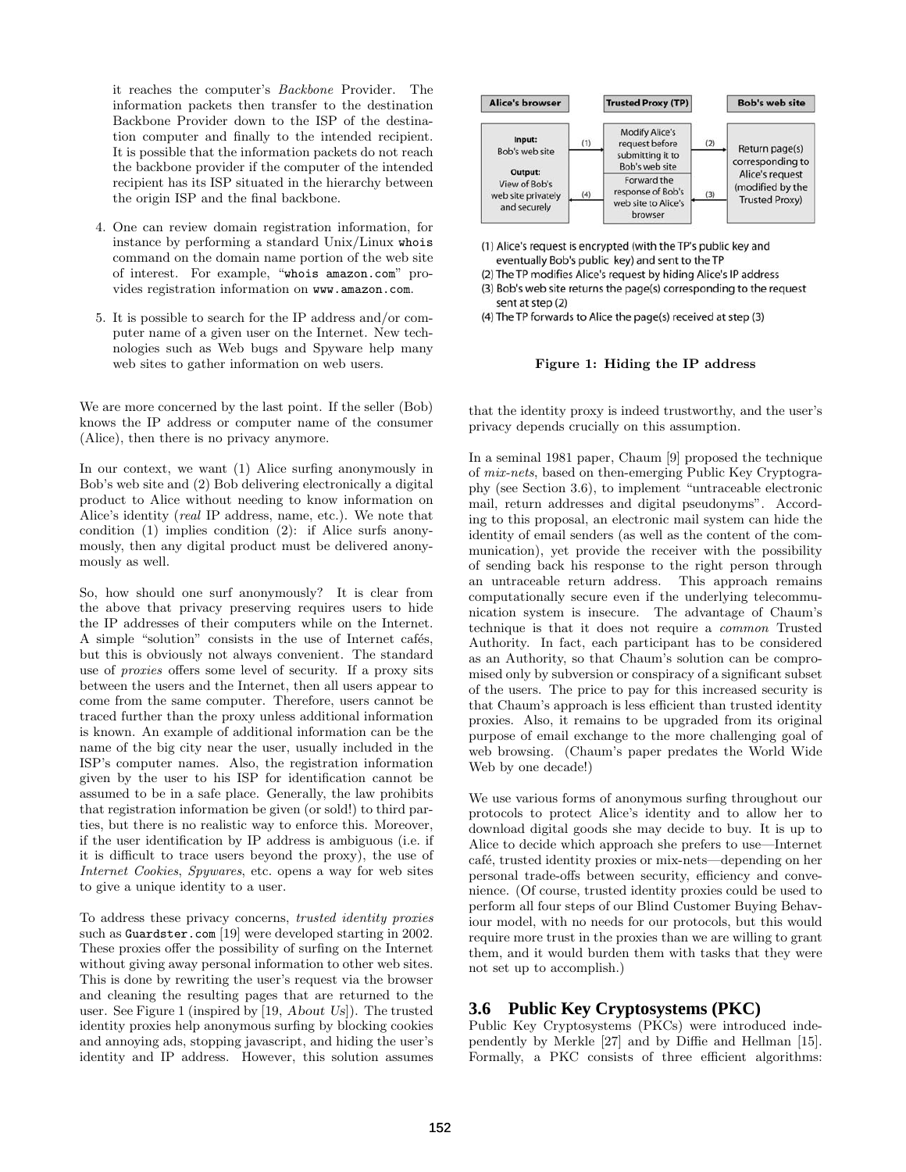it reaches the computer's Backbone Provider. The information packets then transfer to the destination Backbone Provider down to the ISP of the destination computer and finally to the intended recipient. It is possible that the information packets do not reach the backbone provider if the computer of the intended recipient has its ISP situated in the hierarchy between the origin ISP and the final backbone.

- 4. One can review domain registration information, for instance by performing a standard Unix/Linux whois command on the domain name portion of the web site of interest. For example, "whois amazon.com" provides registration information on www.amazon.com.
- 5. It is possible to search for the IP address and/or computer name of a given user on the Internet. New technologies such as Web bugs and Spyware help many web sites to gather information on web users.

We are more concerned by the last point. If the seller (Bob) knows the IP address or computer name of the consumer (Alice), then there is no privacy anymore.

In our context, we want (1) Alice surfing anonymously in Bob's web site and (2) Bob delivering electronically a digital product to Alice without needing to know information on Alice's identity (real IP address, name, etc.). We note that condition (1) implies condition (2): if Alice surfs anonymously, then any digital product must be delivered anonymously as well.

So, how should one surf anonymously? It is clear from the above that privacy preserving requires users to hide the IP addresses of their computers while on the Internet. A simple "solution" consists in the use of Internet cafés, but this is obviously not always convenient. The standard use of proxies offers some level of security. If a proxy sits between the users and the Internet, then all users appear to come from the same computer. Therefore, users cannot be traced further than the proxy unless additional information is known. An example of additional information can be the name of the big city near the user, usually included in the ISP's computer names. Also, the registration information given by the user to his ISP for identification cannot be assumed to be in a safe place. Generally, the law prohibits that registration information be given (or sold!) to third parties, but there is no realistic way to enforce this. Moreover, if the user identification by IP address is ambiguous (i.e. if it is difficult to trace users beyond the proxy), the use of Internet Cookies, Spywares, etc. opens a way for web sites to give a unique identity to a user.

To address these privacy concerns, trusted identity proxies such as Guardster.com [19] were developed starting in 2002. These proxies offer the possibility of surfing on the Internet without giving away personal information to other web sites. This is done by rewriting the user's request via the browser and cleaning the resulting pages that are returned to the user. See Figure 1 (inspired by [19, About Us]). The trusted identity proxies help anonymous surfing by blocking cookies and annoying ads, stopping javascript, and hiding the user's identity and IP address. However, this solution assumes



(1) Alice's request is encrypted (with the TP's public key and eventually Bob's public key) and sent to the TP

(2) The TP modifies Alice's request by hiding Alice's IP address (3) Bob's web site returns the page(s) corresponding to the request

sent at step (2)

(4) The TP forwards to Alice the page(s) received at step (3)

#### Figure 1: Hiding the IP address

that the identity proxy is indeed trustworthy, and the user's privacy depends crucially on this assumption.

In a seminal 1981 paper, Chaum [9] proposed the technique of mix-nets, based on then-emerging Public Key Cryptography (see Section 3.6), to implement "untraceable electronic mail, return addresses and digital pseudonyms". According to this proposal, an electronic mail system can hide the identity of email senders (as well as the content of the communication), yet provide the receiver with the possibility of sending back his response to the right person through an untraceable return address. This approach remains computationally secure even if the underlying telecommunication system is insecure. The advantage of Chaum's technique is that it does not require a common Trusted Authority. In fact, each participant has to be considered as an Authority, so that Chaum's solution can be compromised only by subversion or conspiracy of a significant subset of the users. The price to pay for this increased security is that Chaum's approach is less efficient than trusted identity proxies. Also, it remains to be upgraded from its original purpose of email exchange to the more challenging goal of web browsing. (Chaum's paper predates the World Wide Web by one decade!)

We use various forms of anonymous surfing throughout our protocols to protect Alice's identity and to allow her to download digital goods she may decide to buy. It is up to Alice to decide which approach she prefers to use—Internet café, trusted identity proxies or mix-nets—depending on her personal trade-offs between security, efficiency and convenience. (Of course, trusted identity proxies could be used to perform all four steps of our Blind Customer Buying Behaviour model, with no needs for our protocols, but this would require more trust in the proxies than we are willing to grant them, and it would burden them with tasks that they were not set up to accomplish.)

# **3.6 Public Key Cryptosystems (PKC)**

Public Key Cryptosystems (PKCs) were introduced independently by Merkle [27] and by Diffie and Hellman [15]. Formally, a PKC consists of three efficient algorithms: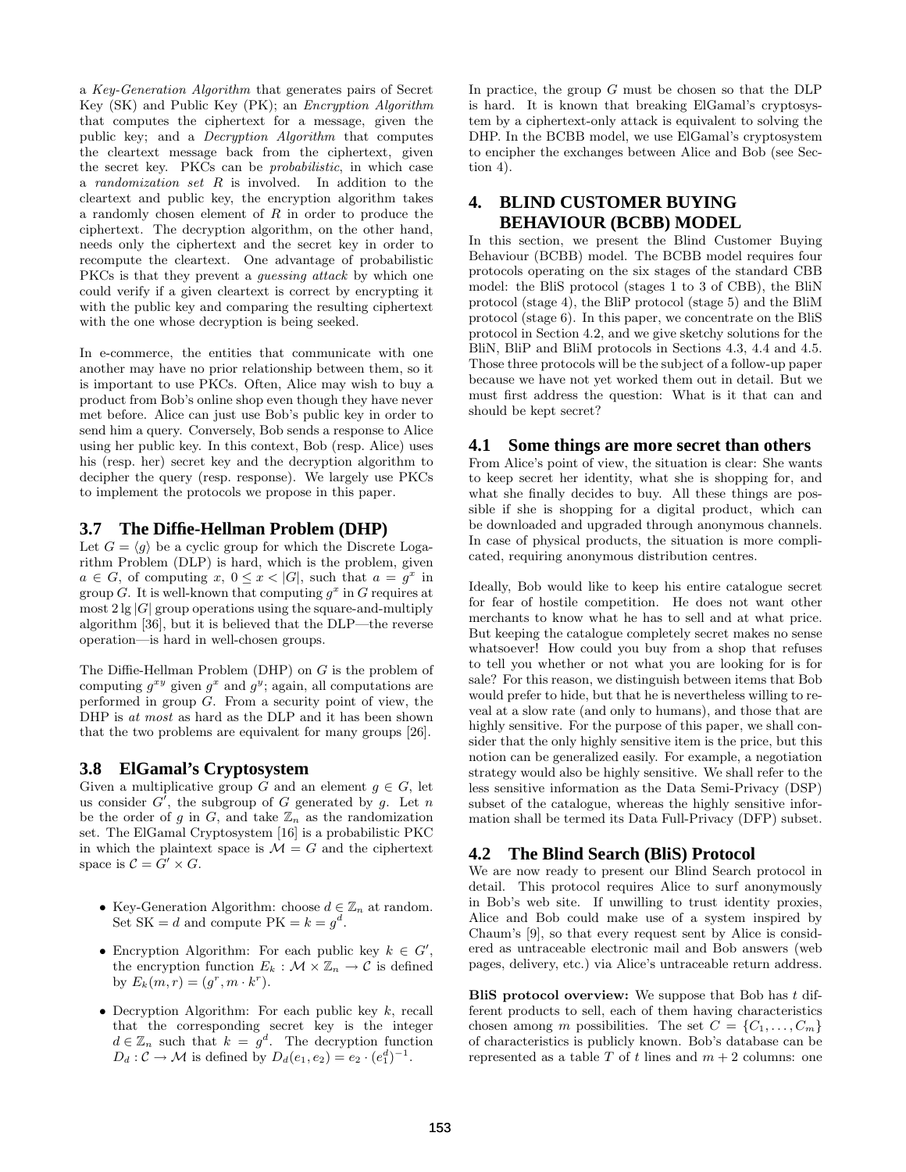a Key-Generation Algorithm that generates pairs of Secret Key (SK) and Public Key (PK); an Encryption Algorithm that computes the ciphertext for a message, given the public key; and a Decryption Algorithm that computes the cleartext message back from the ciphertext, given the secret key. PKCs can be probabilistic, in which case a randomization set R is involved. In addition to the cleartext and public key, the encryption algorithm takes a randomly chosen element of R in order to produce the ciphertext. The decryption algorithm, on the other hand, needs only the ciphertext and the secret key in order to recompute the cleartext. One advantage of probabilistic PKCs is that they prevent a *guessing attack* by which one could verify if a given cleartext is correct by encrypting it with the public key and comparing the resulting ciphertext with the one whose decryption is being seeked.

In e-commerce, the entities that communicate with one another may have no prior relationship between them, so it is important to use PKCs. Often, Alice may wish to buy a product from Bob's online shop even though they have never met before. Alice can just use Bob's public key in order to send him a query. Conversely, Bob sends a response to Alice using her public key. In this context, Bob (resp. Alice) uses his (resp. her) secret key and the decryption algorithm to decipher the query (resp. response). We largely use PKCs to implement the protocols we propose in this paper.

#### **3.7 The Diffie-Hellman Problem (DHP)**

Let  $G = \langle q \rangle$  be a cyclic group for which the Discrete Logarithm Problem (DLP) is hard, which is the problem, given  $a \in G$ , of computing  $x, 0 \leq x < |G|$ , such that  $a = g^x$  in group G. It is well-known that computing  $g^x$  in G requires at most  $2 \lg |G|$  group operations using the square-and-multiply algorithm [36], but it is believed that the DLP—the reverse operation—is hard in well-chosen groups.

The Diffie-Hellman Problem (DHP) on G is the problem of computing  $g^{xy}$  given  $g^x$  and  $g^y$ ; again, all computations are performed in group  $G$ . From a security point of view, the DHP is at most as hard as the DLP and it has been shown that the two problems are equivalent for many groups [26].

#### **3.8 ElGamal's Cryptosystem**

Given a multiplicative group G and an element  $g \in G$ , let us consider  $G'$ , the subgroup of  $G$  generated by  $g$ . Let  $n$ be the order of g in G, and take  $\mathbb{Z}_n$  as the randomization set. The ElGamal Cryptosystem [16] is a probabilistic PKC in which the plaintext space is  $\mathcal{M} = G$  and the ciphertext space is  $C = G' \times G$ .

- Key-Generation Algorithm: choose  $d \in \mathbb{Z}_n$  at random. Set SK = d and compute  $PK = k = g^d$ .
- Encryption Algorithm: For each public key  $k \in G'$ , the encryption function  $E_k : \mathcal{M} \times \mathbb{Z}_n \to \mathcal{C}$  is defined by  $E_k(m, r) = (g^r, m \cdot k^r).$
- Decryption Algorithm: For each public key  $k$ , recall that the corresponding secret key is the integer  $d \in \mathbb{Z}_n$  such that  $k = g^d$ . The decryption function  $D_d: \mathcal{C} \to \mathcal{M}$  is defined by  $D_d(e_1, e_2) = e_2 \cdot (e_1^d)^{-1}$ .

In practice, the group  $G$  must be chosen so that the DLP is hard. It is known that breaking ElGamal's cryptosystem by a ciphertext-only attack is equivalent to solving the DHP. In the BCBB model, we use ElGamal's cryptosystem to encipher the exchanges between Alice and Bob (see Section 4).

# **4. BLIND CUSTOMER BUYING BEHAVIOUR (BCBB) MODEL**

In this section, we present the Blind Customer Buying Behaviour (BCBB) model. The BCBB model requires four protocols operating on the six stages of the standard CBB model: the BliS protocol (stages 1 to 3 of CBB), the BliN protocol (stage 4), the BliP protocol (stage 5) and the BliM protocol (stage 6). In this paper, we concentrate on the BliS protocol in Section 4.2, and we give sketchy solutions for the BliN, BliP and BliM protocols in Sections 4.3, 4.4 and 4.5. Those three protocols will be the subject of a follow-up paper because we have not yet worked them out in detail. But we must first address the question: What is it that can and should be kept secret?

#### **4.1 Some things are more secret than others**

From Alice's point of view, the situation is clear: She wants to keep secret her identity, what she is shopping for, and what she finally decides to buy. All these things are possible if she is shopping for a digital product, which can be downloaded and upgraded through anonymous channels. In case of physical products, the situation is more complicated, requiring anonymous distribution centres.

Ideally, Bob would like to keep his entire catalogue secret for fear of hostile competition. He does not want other merchants to know what he has to sell and at what price. But keeping the catalogue completely secret makes no sense whatsoever! How could you buy from a shop that refuses to tell you whether or not what you are looking for is for sale? For this reason, we distinguish between items that Bob would prefer to hide, but that he is nevertheless willing to reveal at a slow rate (and only to humans), and those that are highly sensitive. For the purpose of this paper, we shall consider that the only highly sensitive item is the price, but this notion can be generalized easily. For example, a negotiation strategy would also be highly sensitive. We shall refer to the less sensitive information as the Data Semi-Privacy (DSP) subset of the catalogue, whereas the highly sensitive information shall be termed its Data Full-Privacy (DFP) subset.

#### **4.2 The Blind Search (BliS) Protocol**

We are now ready to present our Blind Search protocol in detail. This protocol requires Alice to surf anonymously in Bob's web site. If unwilling to trust identity proxies, Alice and Bob could make use of a system inspired by Chaum's [9], so that every request sent by Alice is considered as untraceable electronic mail and Bob answers (web pages, delivery, etc.) via Alice's untraceable return address.

BliS protocol overview: We suppose that Bob has t different products to sell, each of them having characteristics chosen among m possibilities. The set  $C = \{C_1, \ldots, C_m\}$ of characteristics is publicly known. Bob's database can be represented as a table  $T$  of  $t$  lines and  $m + 2$  columns: one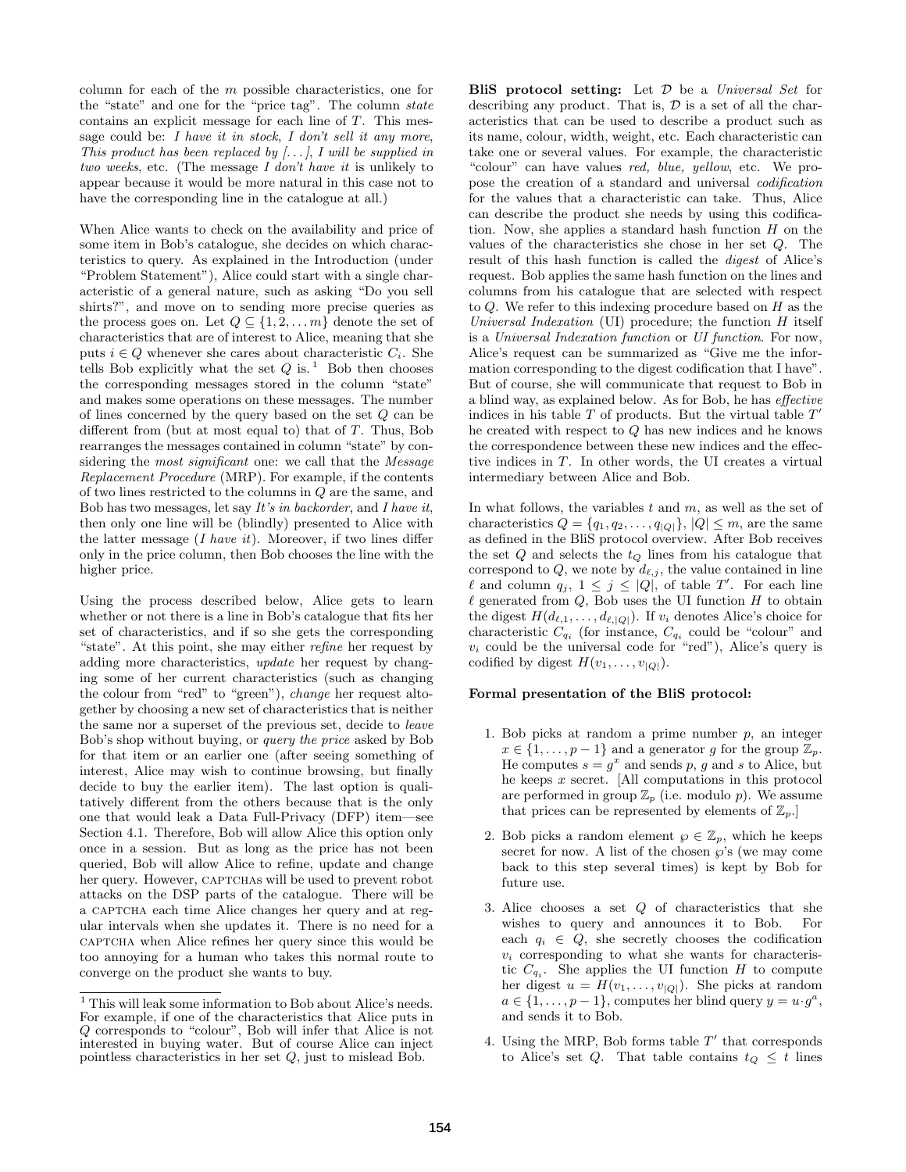column for each of the m possible characteristics, one for the "state" and one for the "price tag". The column state contains an explicit message for each line of  $T$ . This message could be: I have it in stock, I don't sell it any more, This product has been replaced by  $[\ldots]$ , I will be supplied in two weeks, etc. (The message I don't have it is unlikely to appear because it would be more natural in this case not to have the corresponding line in the catalogue at all.)

When Alice wants to check on the availability and price of some item in Bob's catalogue, she decides on which characteristics to query. As explained in the Introduction (under "Problem Statement"), Alice could start with a single characteristic of a general nature, such as asking "Do you sell shirts?", and move on to sending more precise queries as the process goes on. Let  $Q \subseteq \{1, 2, \ldots m\}$  denote the set of characteristics that are of interest to Alice, meaning that she puts  $i \in Q$  whenever she cares about characteristic  $C_i$ . She tells Bob explicitly what the set  $Q$  is.<sup>1</sup> Bob then chooses the corresponding messages stored in the column "state" and makes some operations on these messages. The number of lines concerned by the query based on the set Q can be different from (but at most equal to) that of T. Thus, Bob rearranges the messages contained in column "state" by considering the *most significant* one: we call that the *Message* Replacement Procedure (MRP). For example, if the contents of two lines restricted to the columns in Q are the same, and Bob has two messages, let say  $It's in backorder$ , and I have it, then only one line will be (blindly) presented to Alice with the latter message  $(I \; have \; it)$ . Moreover, if two lines differ only in the price column, then Bob chooses the line with the higher price.

Using the process described below, Alice gets to learn whether or not there is a line in Bob's catalogue that fits her set of characteristics, and if so she gets the corresponding "state". At this point, she may either refine her request by adding more characteristics, update her request by changing some of her current characteristics (such as changing the colour from "red" to "green"), change her request altogether by choosing a new set of characteristics that is neither the same nor a superset of the previous set, decide to leave Bob's shop without buying, or query the price asked by Bob for that item or an earlier one (after seeing something of interest, Alice may wish to continue browsing, but finally decide to buy the earlier item). The last option is qualitatively different from the others because that is the only one that would leak a Data Full-Privacy (DFP) item—see Section 4.1. Therefore, Bob will allow Alice this option only once in a session. But as long as the price has not been queried, Bob will allow Alice to refine, update and change her query. However, CAPTCHAS will be used to prevent robot attacks on the DSP parts of the catalogue. There will be a CAPTCHA each time Alice changes her query and at regular intervals when she updates it. There is no need for a captcha when Alice refines her query since this would be too annoying for a human who takes this normal route to converge on the product she wants to buy.

BliS protocol setting: Let  $D$  be a Universal Set for describing any product. That is,  $\mathcal D$  is a set of all the characteristics that can be used to describe a product such as its name, colour, width, weight, etc. Each characteristic can take one or several values. For example, the characteristic "colour" can have values red, blue, yellow, etc. We propose the creation of a standard and universal codification for the values that a characteristic can take. Thus, Alice can describe the product she needs by using this codification. Now, she applies a standard hash function  $H$  on the values of the characteristics she chose in her set Q. The result of this hash function is called the digest of Alice's request. Bob applies the same hash function on the lines and columns from his catalogue that are selected with respect to  $Q$ . We refer to this indexing procedure based on  $H$  as the Universal Indexation  $(UI)$  procedure; the function  $H$  itself is a Universal Indexation function or UI function. For now, Alice's request can be summarized as "Give me the information corresponding to the digest codification that I have". But of course, she will communicate that request to Bob in a blind way, as explained below. As for Bob, he has effective indices in his table  $T$  of products. But the virtual table  $T'$ he created with respect to Q has new indices and he knows the correspondence between these new indices and the effective indices in T. In other words, the UI creates a virtual intermediary between Alice and Bob.

In what follows, the variables  $t$  and  $m$ , as well as the set of characteristics  $Q = \{q_1, q_2, \ldots, q_{|Q|}\}, |Q| \leq m$ , are the same as defined in the BliS protocol overview. After Bob receives the set  $Q$  and selects the  $t_Q$  lines from his catalogue that correspond to  $Q$ , we note by  $d_{\ell,j}$ , the value contained in line  $\ell$  and column  $q_j$ ,  $1 \leq j \leq |Q|$ , of table T'. For each line  $\ell$  generated from  $Q$ , Bob uses the UI function  $H$  to obtain the digest  $H(d_{\ell,1}, \ldots, d_{\ell,|Q|})$ . If  $v_i$  denotes Alice's choice for characteristic  $C_{q_i}$  (for instance,  $C_{q_i}$  could be "colour" and  $v_i$  could be the universal code for "red"), Alice's query is codified by digest  $H(v_1, \ldots, v_{|Q|})$ .

#### Formal presentation of the BliS protocol:

- 1. Bob picks at random a prime number  $p$ , an integer  $x \in \{1, \ldots, p-1\}$  and a generator g for the group  $\mathbb{Z}_p$ . He computes  $s = g^x$  and sends p, g and s to Alice, but he keeps  $x$  secret. [All computations in this protocol are performed in group  $\mathbb{Z}_p$  (i.e. modulo p). We assume that prices can be represented by elements of  $\mathbb{Z}_p$ .
- 2. Bob picks a random element  $\wp \in \mathbb{Z}_p$ , which he keeps secret for now. A list of the chosen  $\wp$ 's (we may come back to this step several times) is kept by Bob for future use.
- 3. Alice chooses a set Q of characteristics that she wishes to query and announces it to Bob. For each  $q_i \in Q$ , she secretly chooses the codification  $v_i$  corresponding to what she wants for characteristic  $C_{q_i}$ . She applies the UI function H to compute her digest  $u = H(v_1, \ldots, v_{|Q|})$ . She picks at random  $a \in \{1, \ldots, p-1\}$ , computes her blind query  $y = u \cdot g^a$ , and sends it to Bob.
- 4. Using the MRP, Bob forms table  $T'$  that corresponds to Alice's set Q. That table contains  $t_Q \leq t$  lines

 $^{\rm 1}$  This will leak some information to Bob about Alice's needs. For example, if one of the characteristics that Alice puts in Q corresponds to "colour", Bob will infer that Alice is not interested in buying water. But of course Alice can inject pointless characteristics in her set Q, just to mislead Bob.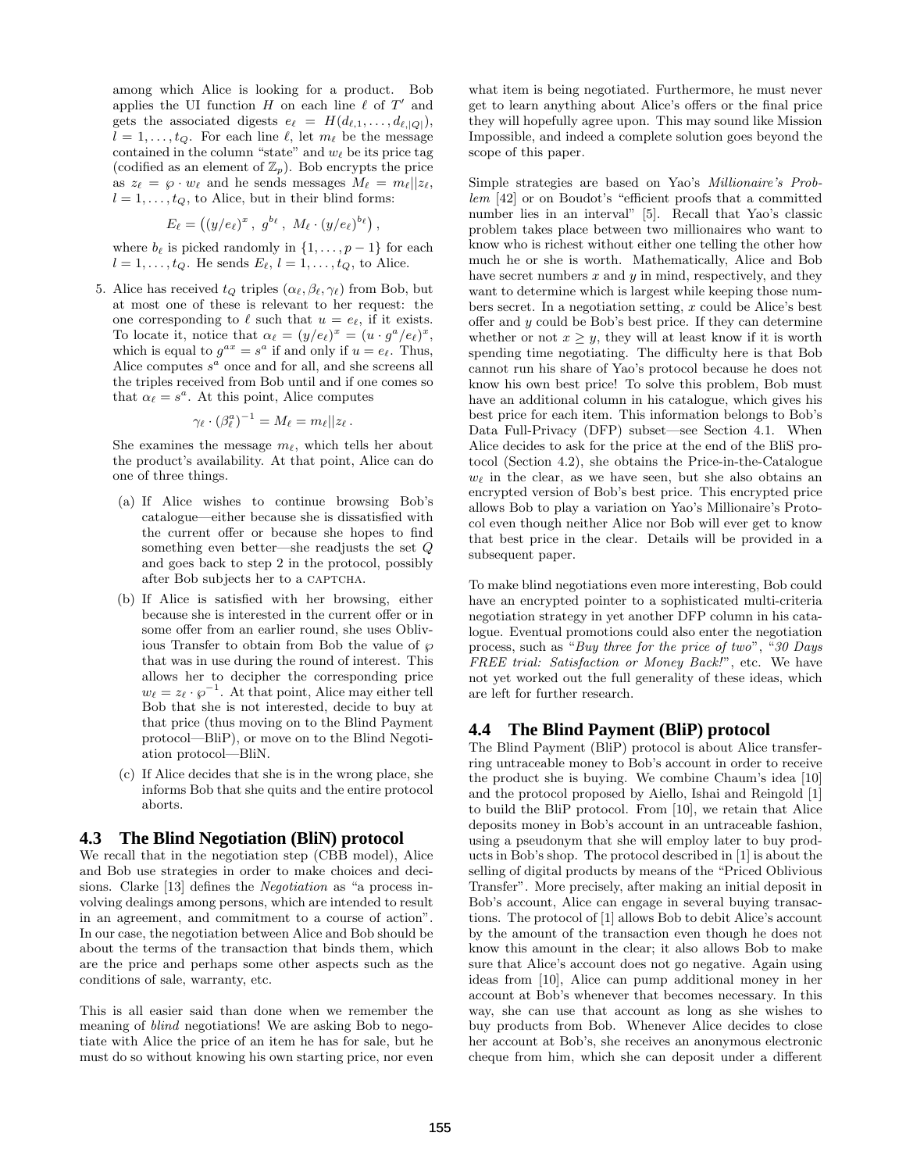among which Alice is looking for a product. Bob applies the UI function  $H$  on each line  $\ell$  of  $T'$  and gets the associated digests  $e_{\ell} = H(d_{\ell,1}, \ldots, d_{\ell,|Q|}),$  $l = 1, \ldots, t_Q$ . For each line  $\ell$ , let  $m_{\ell}$  be the message contained in the column "state" and  $w_{\ell}$  be its price tag (codified as an element of  $\mathbb{Z}_p$ ). Bob encrypts the price as  $z_\ell = \varphi \cdot w_\ell$  and he sends messages  $M_\ell = m_\ell||z_\ell,$  $l = 1, \ldots, t_Q$ , to Alice, but in their blind forms:

$$
E_{\ell} = ((y/e_{\ell})^{x}, g^{b_{\ell}}, M_{\ell} \cdot (y/e_{\ell})^{b_{\ell}})
$$

,

where  $b_{\ell}$  is picked randomly in  $\{1, \ldots, p - 1\}$  for each  $l = 1, \ldots, t_Q$ . He sends  $E_{\ell}, l = 1, \ldots, t_Q$ , to Alice.

5. Alice has received  $t_Q$  triples  $(\alpha_\ell, \beta_\ell, \gamma_\ell)$  from Bob, but at most one of these is relevant to her request: the one corresponding to  $\ell$  such that  $u = e_{\ell}$ , if it exists. To locate it, notice that  $\alpha_{\ell} = (y/e_{\ell})^{x} = (u \cdot g^{a}/e_{\ell})^{x}$ , which is equal to  $g^{ax} = s^a$  if and only if  $u = e_\ell$ . Thus, Alice computes  $s^a$  once and for all, and she screens all the triples received from Bob until and if one comes so that  $\alpha_{\ell} = s^a$ . At this point, Alice computes

$$
\gamma_{\ell} \cdot (\beta_{\ell}^a)^{-1} = M_{\ell} = m_{\ell} || z_{\ell} .
$$

She examines the message  $m_\ell$ , which tells her about the product's availability. At that point, Alice can do one of three things.

- (a) If Alice wishes to continue browsing Bob's catalogue—either because she is dissatisfied with the current offer or because she hopes to find something even better—she readjusts the set Q and goes back to step 2 in the protocol, possibly after Bob subjects her to a CAPTCHA.
- (b) If Alice is satisfied with her browsing, either because she is interested in the current offer or in some offer from an earlier round, she uses Oblivious Transfer to obtain from Bob the value of  $\wp$ that was in use during the round of interest. This allows her to decipher the corresponding price  $w_{\ell} = z_{\ell} \cdot \wp^{-1}$ . At that point, Alice may either tell Bob that she is not interested, decide to buy at that price (thus moving on to the Blind Payment protocol—BliP), or move on to the Blind Negotiation protocol—BliN.
- (c) If Alice decides that she is in the wrong place, she informs Bob that she quits and the entire protocol aborts.

#### **4.3 The Blind Negotiation (BliN) protocol**

We recall that in the negotiation step (CBB model), Alice and Bob use strategies in order to make choices and decisions. Clarke [13] defines the Negotiation as "a process involving dealings among persons, which are intended to result in an agreement, and commitment to a course of action". In our case, the negotiation between Alice and Bob should be about the terms of the transaction that binds them, which are the price and perhaps some other aspects such as the conditions of sale, warranty, etc.

This is all easier said than done when we remember the meaning of blind negotiations! We are asking Bob to negotiate with Alice the price of an item he has for sale, but he must do so without knowing his own starting price, nor even what item is being negotiated. Furthermore, he must never get to learn anything about Alice's offers or the final price they will hopefully agree upon. This may sound like Mission Impossible, and indeed a complete solution goes beyond the scope of this paper.

Simple strategies are based on Yao's Millionaire's Problem [42] or on Boudot's "efficient proofs that a committed number lies in an interval" [5]. Recall that Yao's classic problem takes place between two millionaires who want to know who is richest without either one telling the other how much he or she is worth. Mathematically, Alice and Bob have secret numbers  $x$  and  $y$  in mind, respectively, and they want to determine which is largest while keeping those numbers secret. In a negotiation setting,  $x$  could be Alice's best offer and  $y$  could be Bob's best price. If they can determine whether or not  $x \geq y$ , they will at least know if it is worth spending time negotiating. The difficulty here is that Bob cannot run his share of Yao's protocol because he does not know his own best price! To solve this problem, Bob must have an additional column in his catalogue, which gives his best price for each item. This information belongs to Bob's Data Full-Privacy (DFP) subset—see Section 4.1. When Alice decides to ask for the price at the end of the BliS protocol (Section 4.2), she obtains the Price-in-the-Catalogue  $w_{\ell}$  in the clear, as we have seen, but she also obtains an encrypted version of Bob's best price. This encrypted price allows Bob to play a variation on Yao's Millionaire's Protocol even though neither Alice nor Bob will ever get to know that best price in the clear. Details will be provided in a subsequent paper.

To make blind negotiations even more interesting, Bob could have an encrypted pointer to a sophisticated multi-criteria negotiation strategy in yet another DFP column in his catalogue. Eventual promotions could also enter the negotiation process, such as "Buy three for the price of two", "30 Days FREE trial: Satisfaction or Money Back!", etc. We have not yet worked out the full generality of these ideas, which are left for further research.

#### **4.4 The Blind Payment (BliP) protocol**

The Blind Payment (BliP) protocol is about Alice transferring untraceable money to Bob's account in order to receive the product she is buying. We combine Chaum's idea [10] and the protocol proposed by Aiello, Ishai and Reingold [1] to build the BliP protocol. From [10], we retain that Alice deposits money in Bob's account in an untraceable fashion, using a pseudonym that she will employ later to buy products in Bob's shop. The protocol described in [1] is about the selling of digital products by means of the "Priced Oblivious Transfer". More precisely, after making an initial deposit in Bob's account, Alice can engage in several buying transactions. The protocol of [1] allows Bob to debit Alice's account by the amount of the transaction even though he does not know this amount in the clear; it also allows Bob to make sure that Alice's account does not go negative. Again using ideas from [10], Alice can pump additional money in her account at Bob's whenever that becomes necessary. In this way, she can use that account as long as she wishes to buy products from Bob. Whenever Alice decides to close her account at Bob's, she receives an anonymous electronic cheque from him, which she can deposit under a different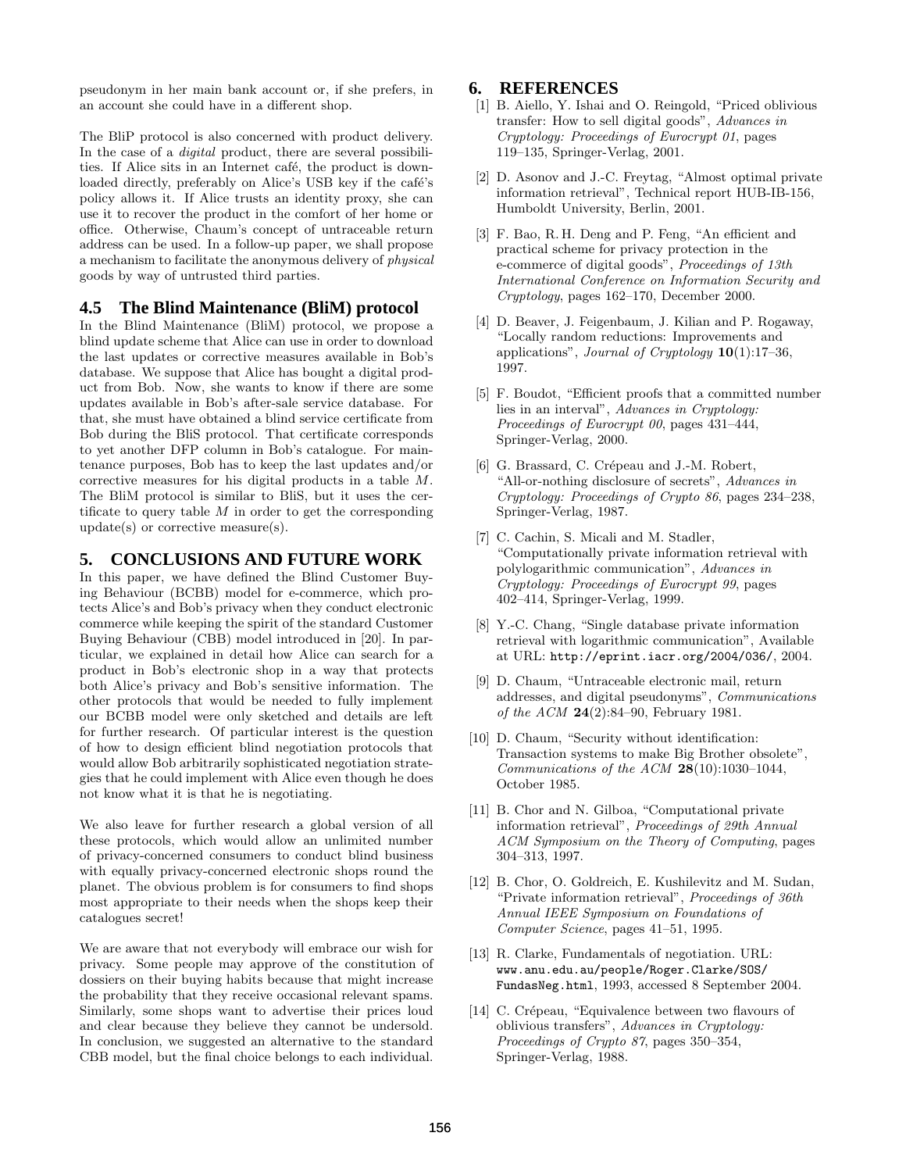pseudonym in her main bank account or, if she prefers, in an account she could have in a different shop.

The BliP protocol is also concerned with product delivery. In the case of a *digital* product, there are several possibilities. If Alice sits in an Internet café, the product is downloaded directly, preferably on Alice's USB key if the café's policy allows it. If Alice trusts an identity proxy, she can use it to recover the product in the comfort of her home or office. Otherwise, Chaum's concept of untraceable return address can be used. In a follow-up paper, we shall propose a mechanism to facilitate the anonymous delivery of physical goods by way of untrusted third parties.

## **4.5 The Blind Maintenance (BliM) protocol**

In the Blind Maintenance (BliM) protocol, we propose a blind update scheme that Alice can use in order to download the last updates or corrective measures available in Bob's database. We suppose that Alice has bought a digital product from Bob. Now, she wants to know if there are some updates available in Bob's after-sale service database. For that, she must have obtained a blind service certificate from Bob during the BliS protocol. That certificate corresponds to yet another DFP column in Bob's catalogue. For maintenance purposes, Bob has to keep the last updates and/or corrective measures for his digital products in a table M. The BliM protocol is similar to BliS, but it uses the certificate to query table  $M$  in order to get the corresponding update(s) or corrective measure(s).

#### **5. CONCLUSIONS AND FUTURE WORK**

In this paper, we have defined the Blind Customer Buying Behaviour (BCBB) model for e-commerce, which protects Alice's and Bob's privacy when they conduct electronic commerce while keeping the spirit of the standard Customer Buying Behaviour (CBB) model introduced in [20]. In particular, we explained in detail how Alice can search for a product in Bob's electronic shop in a way that protects both Alice's privacy and Bob's sensitive information. The other protocols that would be needed to fully implement our BCBB model were only sketched and details are left for further research. Of particular interest is the question of how to design efficient blind negotiation protocols that would allow Bob arbitrarily sophisticated negotiation strategies that he could implement with Alice even though he does not know what it is that he is negotiating.

We also leave for further research a global version of all these protocols, which would allow an unlimited number of privacy-concerned consumers to conduct blind business with equally privacy-concerned electronic shops round the planet. The obvious problem is for consumers to find shops most appropriate to their needs when the shops keep their catalogues secret!

We are aware that not everybody will embrace our wish for privacy. Some people may approve of the constitution of dossiers on their buying habits because that might increase the probability that they receive occasional relevant spams. Similarly, some shops want to advertise their prices loud and clear because they believe they cannot be undersold. In conclusion, we suggested an alternative to the standard CBB model, but the final choice belongs to each individual.

#### **6. REFERENCES**

- [1] B. Aiello, Y. Ishai and O. Reingold, "Priced oblivious transfer: How to sell digital goods", Advances in Cryptology: Proceedings of Eurocrypt 01, pages 119–135, Springer-Verlag, 2001.
- [2] D. Asonov and J.-C. Freytag, "Almost optimal private information retrieval", Technical report HUB-IB-156, Humboldt University, Berlin, 2001.
- [3] F. Bao, R. H. Deng and P. Feng, "An efficient and practical scheme for privacy protection in the e-commerce of digital goods", Proceedings of 13th International Conference on Information Security and Cryptology, pages 162–170, December 2000.
- [4] D. Beaver, J. Feigenbaum, J. Kilian and P. Rogaway, "Locally random reductions: Improvements and applications", Journal of Cryptology  $10(1):17-36$ , 1997.
- [5] F. Boudot, "Efficient proofs that a committed number lies in an interval", Advances in Cryptology: Proceedings of Eurocrypt 00, pages 431–444, Springer-Verlag, 2000.
- [6] G. Brassard, C. Crépeau and J.-M. Robert, "All-or-nothing disclosure of secrets", Advances in Cryptology: Proceedings of Crypto 86, pages 234–238, Springer-Verlag, 1987.
- [7] C. Cachin, S. Micali and M. Stadler, "Computationally private information retrieval with polylogarithmic communication", Advances in Cryptology: Proceedings of Eurocrypt 99, pages 402–414, Springer-Verlag, 1999.
- [8] Y.-C. Chang, "Single database private information retrieval with logarithmic communication", Available at URL: http://eprint.iacr.org/2004/036/, 2004.
- [9] D. Chaum, "Untraceable electronic mail, return addresses, and digital pseudonyms", Communications of the ACM 24(2):84–90, February 1981.
- [10] D. Chaum, "Security without identification: Transaction systems to make Big Brother obsolete", Communications of the ACM  $28(10):1030-1044$ , October 1985.
- [11] B. Chor and N. Gilboa, "Computational private information retrieval", Proceedings of 29th Annual ACM Symposium on the Theory of Computing, pages 304–313, 1997.
- [12] B. Chor, O. Goldreich, E. Kushilevitz and M. Sudan, "Private information retrieval", Proceedings of 36th Annual IEEE Symposium on Foundations of Computer Science, pages 41–51, 1995.
- [13] R. Clarke, Fundamentals of negotiation. URL: www.anu.edu.au/people/Roger.Clarke/SOS/ FundasNeg.html, 1993, accessed 8 September 2004.
- [14] C. Crépeau, "Equivalence between two flavours of oblivious transfers", Advances in Cryptology: Proceedings of Crypto 87, pages 350–354, Springer-Verlag, 1988.